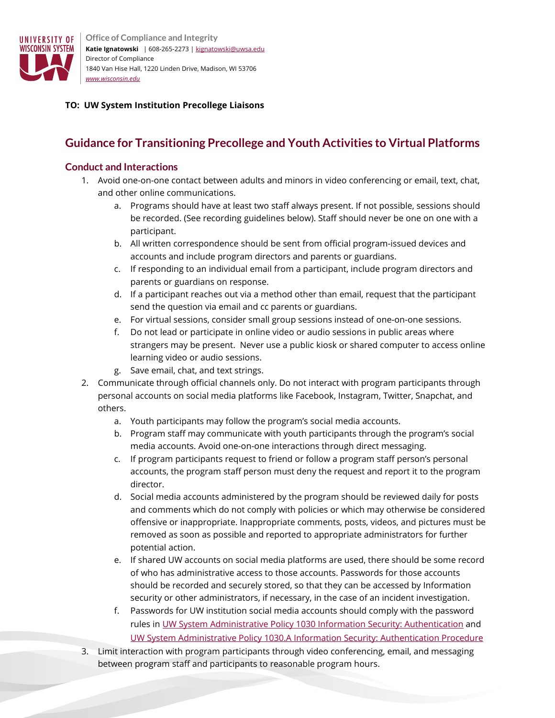

**Office of Compliance and Integrity Katie Ignatowski** | 608-265-2273 [| kignatowski@uwsa.edu](mailto:kignatowski@uwsa.edu) Director of Compliance 1840 Van Hise Hall, 1220 Linden Drive, Madison, WI 53706 *[www.wisconsin.edu](http://www.wisconsin.edu/)*

## **TO: UW System Institution Precollege Liaisons**

# **Guidance for Transitioning Precollege and Youth Activities to Virtual Platforms**

## **Conduct and Interactions**

- 1. Avoid one-on-one contact between adults and minors in video conferencing or email, text, chat, and other online communications.
	- a. Programs should have at least two staff always present. If not possible, sessions should be recorded. (See recording guidelines below). Staff should never be one on one with a participant.
	- b. All written correspondence should be sent from official program-issued devices and accounts and include program directors and parents or guardians.
	- c. If responding to an individual email from a participant, include program directors and parents or guardians on response.
	- d. If a participant reaches out via a method other than email, request that the participant send the question via email and cc parents or guardians.
	- e. For virtual sessions, consider small group sessions instead of one-on-one sessions.
	- f. Do not lead or participate in online video or audio sessions in public areas where strangers may be present. Never use a public kiosk or shared computer to access online learning video or audio sessions.
	- g. Save email, chat, and text strings.
- 2. Communicate through official channels only. Do not interact with program participants through personal accounts on social media platforms like Facebook, Instagram, Twitter, Snapchat, and others.
	- a. Youth participants may follow the program's social media accounts.
	- b. Program staff may communicate with youth participants through the program's social media accounts. Avoid one-on-one interactions through direct messaging.
	- c. If program participants request to friend or follow a program staff person's personal accounts, the program staff person must deny the request and report it to the program director.
	- d. Social media accounts administered by the program should be reviewed daily for posts and comments which do not comply with policies or which may otherwise be considered offensive or inappropriate. Inappropriate comments, posts, videos, and pictures must be removed as soon as possible and reported to appropriate administrators for further potential action.
	- e. If shared UW accounts on social media platforms are used, there should be some record of who has administrative access to those accounts. Passwords for those accounts should be recorded and securely stored, so that they can be accessed by Information security or other administrators, if necessary, in the case of an incident investigation.
	- f. Passwords for UW institution social media accounts should comply with the password rules in [UW System Administrative Policy 1030 Information Security: Authentication](https://www.wisconsin.edu/uw-policies/uw-system-administrative-policies/information-security-authentication/) and [UW System Administrative Policy 1030.A Information Security: Authentication Procedure](https://www.wisconsin.edu/uw-policies/uw-system-administrative-policies/information-security-authentication/information-security-authentication/)
- 3. Limit interaction with program participants through video conferencing, email, and messaging between program staff and participants to reasonable program hours.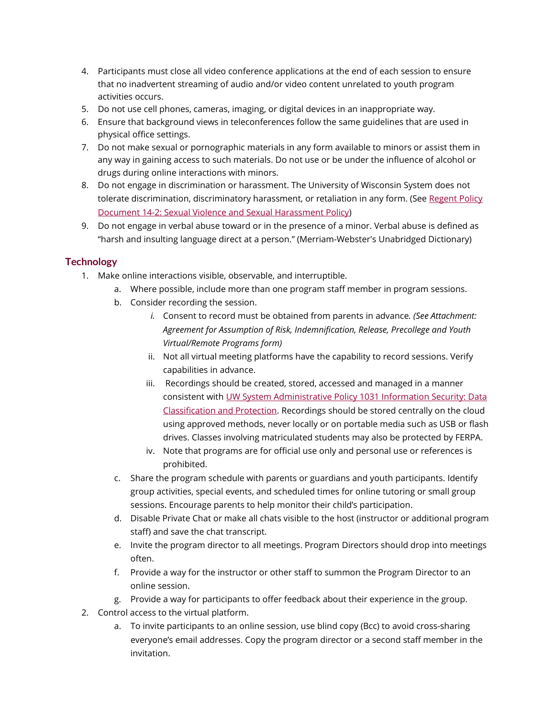- 4. Participants must close all video conference applications at the end of each session to ensure that no inadvertent streaming of audio and/or video content unrelated to youth program activities occurs.
- 5. Do not use cell phones, cameras, imaging, or digital devices in an inappropriate way.
- 6. Ensure that background views in teleconferences follow the same guidelines that are used in physical office settings.
- 7. Do not make sexual or pornographic materials in any form available to minors or assist them in any way in gaining access to such materials. Do not use or be under the influence of alcohol or drugs during online interactions with minors.
- 8. Do not engage in discrimination or harassment. The University of Wisconsin System does not tolerate discrimination, discriminatory harassment, or retaliation in any form. (See Regent Policy [Document 14-2: Sexual Violence and Sexual Harassment Policy\)](https://www.wisconsin.edu/regents/policies/sexual-violence-and-sexual-harassment/)
- 9. Do not engage in verbal abuse toward or in the presence of a minor. Verbal abuse is defined as "harsh and insulting language direct at a person." (Merriam-Webster's Unabridged Dictionary)

# **Technology**

- 1. Make online interactions visible, observable, and interruptible.
	- a. Where possible, include more than one program staff member in program sessions.
	- b. Consider recording the session.
		- *i.* Consent to record must be obtained from parents in advance*. (See Attachment: Agreement for Assumption of Risk, Indemnification, Release, Precollege and Youth Virtual/Remote Programs form)*
		- ii. Not all virtual meeting platforms have the capability to record sessions. Verify capabilities in advance.
		- iii. Recordings should be created, stored, accessed and managed in a manner consistent with [UW System Administrative Policy 1031 Information Security: Data](https://www.wisconsin.edu/uw-policies/uw-system-administrative-policies/information-security-data-classification-and-protection/)  [Classification and Protection.](https://www.wisconsin.edu/uw-policies/uw-system-administrative-policies/information-security-data-classification-and-protection/) Recordings should be stored centrally on the cloud using approved methods, never locally or on portable media such as USB or flash drives. Classes involving matriculated students may also be protected by FERPA.
		- iv. Note that programs are for official use only and personal use or references is prohibited.
	- c. Share the program schedule with parents or guardians and youth participants. Identify group activities, special events, and scheduled times for online tutoring or small group sessions. Encourage parents to help monitor their child's participation.
	- d. Disable Private Chat or make all chats visible to the host (instructor or additional program staff) and save the chat transcript.
	- e. Invite the program director to all meetings. Program Directors should drop into meetings often.
	- f. Provide a way for the instructor or other staff to summon the Program Director to an online session.
	- g. Provide a way for participants to offer feedback about their experience in the group.
- 2. Control access to the virtual platform.
	- a. To invite participants to an online session, use blind copy (Bcc) to avoid cross-sharing everyone's email addresses. Copy the program director or a second staff member in the invitation.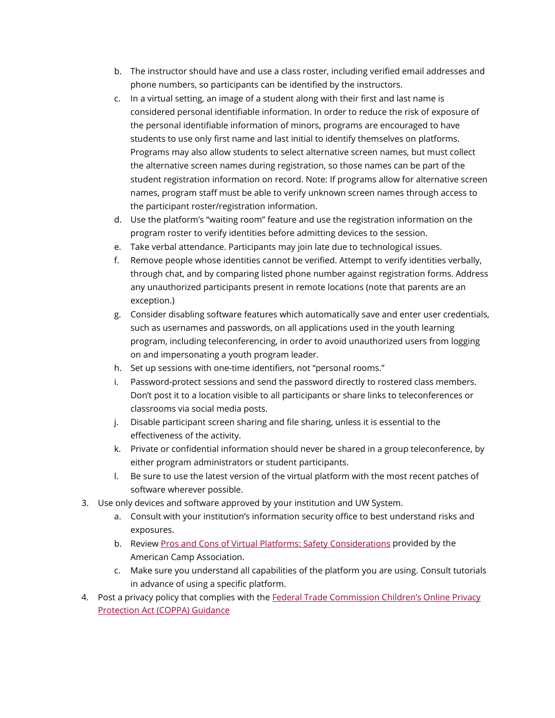- b. The instructor should have and use a class roster, including verified email addresses and phone numbers, so participants can be identified by the instructors.
- c. In a virtual setting, an image of a student along with their first and last name is considered personal identifiable information. In order to reduce the risk of exposure of the personal identifiable information of minors, programs are encouraged to have students to use only first name and last initial to identify themselves on platforms. Programs may also allow students to select alternative screen names, but must collect the alternative screen names during registration, so those names can be part of the student registration information on record. Note: If programs allow for alternative screen names, program staff must be able to verify unknown screen names through access to the participant roster/registration information.
- d. Use the platform's "waiting room" feature and use the registration information on the program roster to verify identities before admitting devices to the session.
- e. Take verbal attendance. Participants may join late due to technological issues.
- f. Remove people whose identities cannot be verified. Attempt to verify identities verbally, through chat, and by comparing listed phone number against registration forms. Address any unauthorized participants present in remote locations (note that parents are an exception.)
- g. Consider disabling software features which automatically save and enter user credentials, such as usernames and passwords, on all applications used in the youth learning program, including teleconferencing, in order to avoid unauthorized users from logging on and impersonating a youth program leader.
- h. Set up sessions with one-time identifiers, not "personal rooms."
- i. Password-protect sessions and send the password directly to rostered class members. Don't post it to a location visible to all participants or share links to teleconferences or classrooms via social media posts.
- j. Disable participant screen sharing and file sharing, unless it is essential to the effectiveness of the activity.
- k. Private or confidential information should never be shared in a group teleconference, by either program administrators or student participants.
- l. Be sure to use the latest version of the virtual platform with the most recent patches of software wherever possible.
- 3. Use only devices and software approved by your institution and UW System.
	- a. Consult with your institution's information security office to best understand risks and exposures.
	- b. Revie[w Pros and Cons of Virtual Platforms: Safety Considerations](https://www.acacamps.org/news-publications/blogs/camp-connection/virtual-program-platform-pros-cons) provided by the American Camp Association.
	- c. Make sure you understand all capabilities of the platform you are using. Consult tutorials in advance of using a specific platform.
- 4. Post a privacy policy that complies with the Federal Trade Commission Children's Online Privacy Protection Act (COPPA) Guidance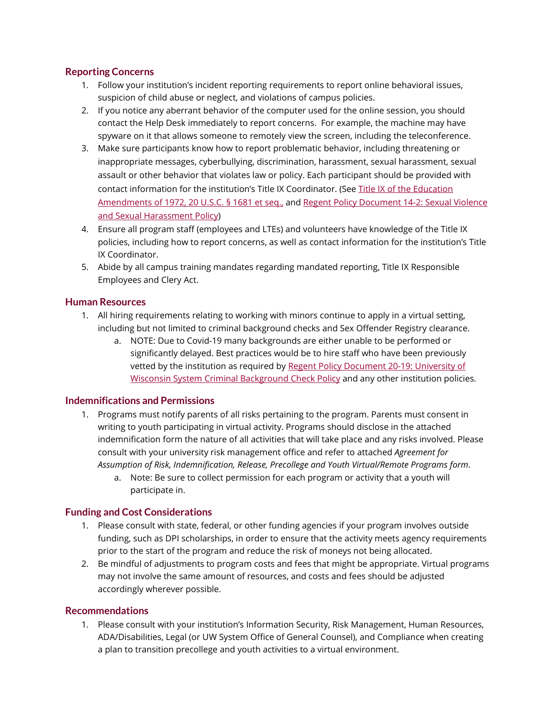## **Reporting Concerns**

- 1. Follow your institution's incident reporting requirements to report online behavioral issues, suspicion of child abuse or neglect, and violations of campus policies.
- 2. If you notice any aberrant behavior of the computer used for the online session, you should contact the Help Desk immediately to report concerns. For example, the machine may have spyware on it that allows someone to remotely view the screen, including the teleconference.
- 3. Make sure participants know how to report problematic behavior, including threatening or inappropriate messages, cyberbullying, discrimination, harassment, sexual harassment, sexual assault or other behavior that violates law or policy. Each participant should be provided with contact information for the institution's Title IX Coordinator. (Se[e Title IX of the Education](https://www2.ed.gov/about/offices/list/ocr/docs/tix_dis.html)  [Amendments of 1972, 20 U.S.C. § 1681 et seq.,](https://www2.ed.gov/about/offices/list/ocr/docs/tix_dis.html) and [Regent Policy Document 14-2: Sexual Violence](https://www.wisconsin.edu/regents/policies/sexual-violence-and-sexual-harassment/)  [and Sexual Harassment Policy\)](https://www.wisconsin.edu/regents/policies/sexual-violence-and-sexual-harassment/)
- 4. Ensure all program staff (employees and LTEs) and volunteers have knowledge of the Title IX policies, including how to report concerns, as well as contact information for the institution's Title IX Coordinator.
- 5. Abide by all campus training mandates regarding mandated reporting, Title IX Responsible Employees and Clery Act.

#### **Human Resources**

- 1. All hiring requirements relating to working with minors continue to apply in a virtual setting, including but not limited to criminal background checks and Sex Offender Registry clearance.
	- a. NOTE: Due to Covid-19 many backgrounds are either unable to be performed or significantly delayed. Best practices would be to hire staff who have been previously vetted by the institution as required by [Regent Policy Document 20-19: University of](https://www.wisconsin.edu/regents/policies/university-of-wisconsin-system-criminal-background-check-policy/)  [Wisconsin System Criminal Background Check Policy](https://www.wisconsin.edu/regents/policies/university-of-wisconsin-system-criminal-background-check-policy/) and any other institution policies.

#### **Indemnifications and Permissions**

- 1. Programs must notify parents of all risks pertaining to the program. Parents must consent in writing to youth participating in virtual activity. Programs should disclose in the attached indemnification form the nature of all activities that will take place and any risks involved. Please consult with your university risk management office and refer to attached *Agreement for Assumption of Risk, Indemnification, Release, Precollege and Youth Virtual/Remote Programs form*.
	- a. Note: Be sure to collect permission for each program or activity that a youth will participate in.

## **Funding and Cost Considerations**

- 1. Please consult with state, federal, or other funding agencies if your program involves outside funding, such as DPI scholarships, in order to ensure that the activity meets agency requirements prior to the start of the program and reduce the risk of moneys not being allocated.
- 2. Be mindful of adjustments to program costs and fees that might be appropriate. Virtual programs may not involve the same amount of resources, and costs and fees should be adjusted accordingly wherever possible.

#### **Recommendations**

1. Please consult with your institution's Information Security, Risk Management, Human Resources, ADA/Disabilities, Legal (or UW System Office of General Counsel), and Compliance when creating a plan to transition precollege and youth activities to a virtual environment.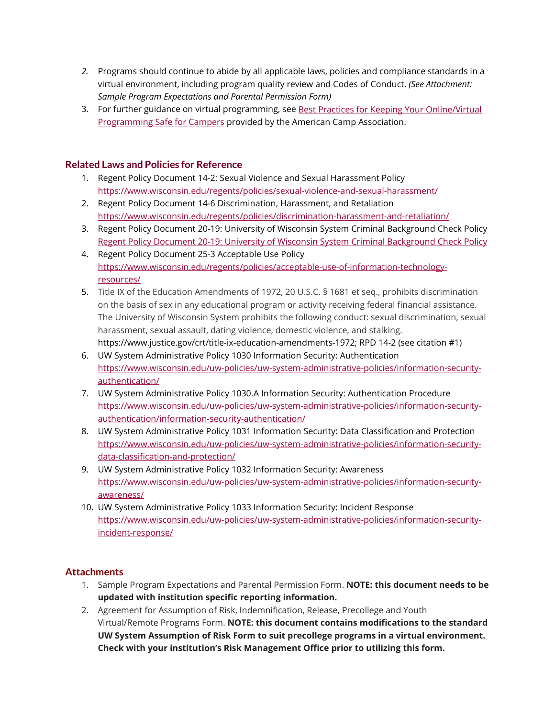- *2.* Programs should continue to abide by all applicable laws, policies and compliance standards in a virtual environment, including program quality review and Codes of Conduct. *(See Attachment: Sample Program Expectations and Parental Permission Form)*
- 3. For further guidance on virtual programming, see Best Practices for Keeping Your Online/Virtual [Programming Safe for Campers](https://www.acacamps.org/news-publications/blogs/camp-connection/best-practices-keeping-your-online-virtual-programming-safe-campers) provided by the American Camp Association.

## **Related Laws and Policies for Reference**

- 1. Regent Policy Document 14-2: Sexual Violence and Sexual Harassment Policy <https://www.wisconsin.edu/regents/policies/sexual-violence-and-sexual-harassment/>
- 2. Regent Policy Document 14-6 Discrimination, Harassment, and Retaliation <https://www.wisconsin.edu/regents/policies/discrimination-harassment-and-retaliation/>
- 3. Regent Policy Document 20-19: University of Wisconsin System Criminal Background Check Policy [Regent Policy Document 20-19: University of Wisconsin System Criminal Background Check Policy](https://www.wisconsin.edu/regents/policies/university-of-wisconsin-system-criminal-background-check-policy/)
- 4. Regent Policy Document 25-3 Acceptable Use Policy [https://www.wisconsin.edu/regents/policies/acceptable-use-of-information-technology](https://www.wisconsin.edu/regents/policies/acceptable-use-of-information-technology-resources/)[resources/](https://www.wisconsin.edu/regents/policies/acceptable-use-of-information-technology-resources/)
- 5. Title IX of the Education Amendments of 1972, 20 U.S.C. § 1681 et seq., prohibits discrimination on the basis of sex in any educational program or activity receiving federal financial assistance. The University of Wisconsin System prohibits the following conduct: sexual discrimination, sexual harassment, sexual assault, dating violence, domestic violence, and stalking. https://www.justice.gov/crt/title-ix-education-amendments-1972; RPD 14-2 (see citation #1)
- 6. UW System Administrative Policy 1030 Information Security: Authentication [https://www.wisconsin.edu/uw-policies/uw-system-administrative-policies/information-security](https://www.wisconsin.edu/uw-policies/uw-system-administrative-policies/information-security-authentication/)[authentication/](https://www.wisconsin.edu/uw-policies/uw-system-administrative-policies/information-security-authentication/)
- 7. UW System Administrative Policy 1030.A Information Security: Authentication Procedure [https://www.wisconsin.edu/uw-policies/uw-system-administrative-policies/information-security](https://www.wisconsin.edu/uw-policies/uw-system-administrative-policies/information-security-authentication/information-security-authentication/)[authentication/information-security-authentication/](https://www.wisconsin.edu/uw-policies/uw-system-administrative-policies/information-security-authentication/information-security-authentication/)
- 8. UW System Administrative Policy 1031 Information Security: Data Classification and Protection [https://www.wisconsin.edu/uw-policies/uw-system-administrative-policies/information-security](https://www.wisconsin.edu/uw-policies/uw-system-administrative-policies/information-security-data-classification-and-protection/)[data-classification-and-protection/](https://www.wisconsin.edu/uw-policies/uw-system-administrative-policies/information-security-data-classification-and-protection/)
- 9. UW System Administrative Policy 1032 Information Security: Awareness [https://www.wisconsin.edu/uw-policies/uw-system-administrative-policies/information-security](https://www.wisconsin.edu/uw-policies/uw-system-administrative-policies/information-security-awareness/)[awareness/](https://www.wisconsin.edu/uw-policies/uw-system-administrative-policies/information-security-awareness/)
- 10. UW System Administrative Policy 1033 Information Security: Incident Response [https://www.wisconsin.edu/uw-policies/uw-system-administrative-policies/information-security](https://www.wisconsin.edu/uw-policies/uw-system-administrative-policies/information-security-incident-response/)[incident-response/](https://www.wisconsin.edu/uw-policies/uw-system-administrative-policies/information-security-incident-response/)

# **Attachments**

- 1. Sample Program Expectations and Parental Permission Form. **NOTE: this document needs to be updated with institution specific reporting information.**
- 2. Agreement for Assumption of Risk, Indemnification, Release, Precollege and Youth Virtual/Remote Programs Form. **NOTE: this document contains modifications to the standard UW System Assumption of Risk Form to suit precollege programs in a virtual environment. Check with your institution's Risk Management Office prior to utilizing this form.**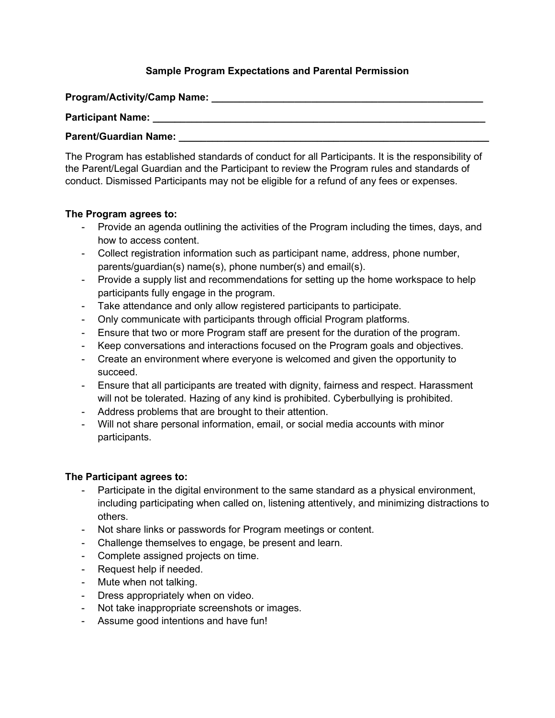# **Sample Program Expectations and Parental Permission**

**Program/Activity/Camp Name: \_\_\_\_\_\_\_\_\_\_\_\_\_\_\_\_\_\_\_\_\_\_\_\_\_\_\_\_\_\_\_\_\_\_\_\_\_\_\_\_\_\_\_\_\_\_\_\_\_**

**Participant Name: \_\_\_\_\_\_\_\_\_\_\_\_\_\_\_\_\_\_\_\_\_\_\_\_\_\_\_\_\_\_\_\_\_\_\_\_\_\_\_\_\_\_\_\_\_\_\_\_\_\_\_\_\_\_\_\_\_\_\_\_**

### **Parent/Guardian Name:**

The Program has established standards of conduct for all Participants. It is the responsibility of the Parent/Legal Guardian and the Participant to review the Program rules and standards of conduct. Dismissed Participants may not be eligible for a refund of any fees or expenses.

#### **The Program agrees to:**

- Provide an agenda outlining the activities of the Program including the times, days, and how to access content.
- Collect registration information such as participant name, address, phone number, parents/guardian(s) name(s), phone number(s) and email(s).
- Provide a supply list and recommendations for setting up the home workspace to help participants fully engage in the program.
- Take attendance and only allow registered participants to participate.
- Only communicate with participants through official Program platforms.
- Ensure that two or more Program staff are present for the duration of the program.
- Keep conversations and interactions focused on the Program goals and objectives.
- Create an environment where everyone is welcomed and given the opportunity to succeed.
- Ensure that all participants are treated with dignity, fairness and respect. Harassment will not be tolerated. Hazing of any kind is prohibited. Cyberbullying is prohibited.
- Address problems that are brought to their attention.
- Will not share personal information, email, or social media accounts with minor participants.

## **The Participant agrees to:**

- Participate in the digital environment to the same standard as a physical environment, including participating when called on, listening attentively, and minimizing distractions to others.
- Not share links or passwords for Program meetings or content.
- Challenge themselves to engage, be present and learn.
- Complete assigned projects on time.
- Request help if needed.
- Mute when not talking.
- Dress appropriately when on video.
- Not take inappropriate screenshots or images.
- Assume good intentions and have fun!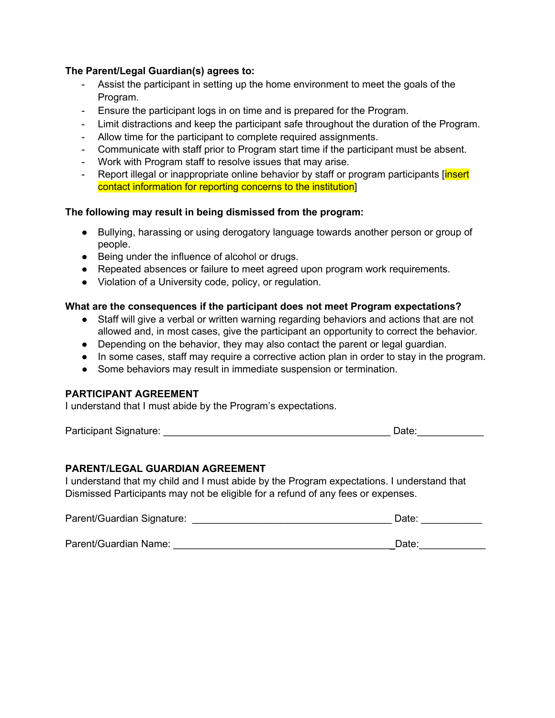## **The Parent/Legal Guardian(s) agrees to:**

- Assist the participant in setting up the home environment to meet the goals of the Program.
- Ensure the participant logs in on time and is prepared for the Program.
- Limit distractions and keep the participant safe throughout the duration of the Program.
- Allow time for the participant to complete required assignments.
- Communicate with staff prior to Program start time if the participant must be absent.
- Work with Program staff to resolve issues that may arise.
- Report illegal or inappropriate online behavior by staff or program participants [insert] contact information for reporting concerns to the institution]

## **The following may result in being dismissed from the program:**

- Bullying, harassing or using derogatory language towards another person or group of people.
- Being under the influence of alcohol or drugs.
- Repeated absences or failure to meet agreed upon program work requirements.
- Violation of a University code, policy, or regulation.

# **What are the consequences if the participant does not meet Program expectations?**

- Staff will give a verbal or written warning regarding behaviors and actions that are not allowed and, in most cases, give the participant an opportunity to correct the behavior.
- Depending on the behavior, they may also contact the parent or legal guardian.
- In some cases, staff may require a corrective action plan in order to stay in the program.
- Some behaviors may result in immediate suspension or termination.

## **PARTICIPANT AGREEMENT**

I understand that I must abide by the Program's expectations.

Participant Signature: \_\_\_\_\_\_\_\_\_\_\_\_\_\_\_\_\_\_\_\_\_\_\_\_\_\_\_\_\_\_\_\_\_\_\_\_\_\_\_\_\_ Date:\_\_\_\_\_\_\_\_\_\_\_\_

## **PARENT/LEGAL GUARDIAN AGREEMENT**

I understand that my child and I must abide by the Program expectations. I understand that Dismissed Participants may not be eligible for a refund of any fees or expenses.

| Parent/Guardian Signature: | Date: |  |
|----------------------------|-------|--|
|                            |       |  |
| Parent/Guardian Name:      | Date: |  |